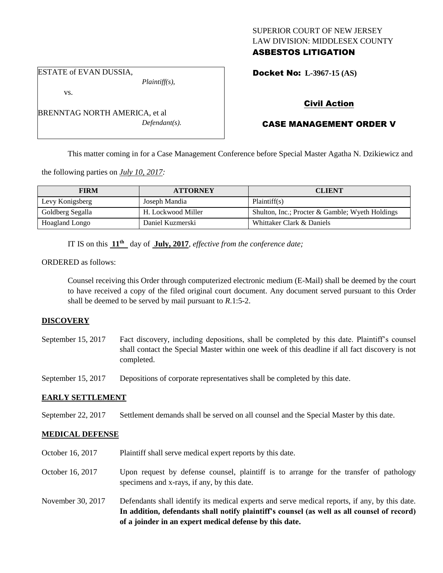# SUPERIOR COURT OF NEW JERSEY LAW DIVISION: MIDDLESEX COUNTY ASBESTOS LITIGATION

ESTATE of EVAN DUSSIA,

vs.

*Plaintiff(s),*

BRENNTAG NORTH AMERICA, et al *Defendant(s).* Docket No: **L-3967-15 (AS)** 

# Civil Action

# CASE MANAGEMENT ORDER V

This matter coming in for a Case Management Conference before Special Master Agatha N. Dzikiewicz and

the following parties on *July 10, 2017:*

| <b>FIRM</b>           | <b>ATTORNEY</b>    | <b>CLIENT</b>                                   |
|-----------------------|--------------------|-------------------------------------------------|
| Levy Konigsberg       | Joseph Mandia      | Plaintiff(s)                                    |
| Goldberg Segalla      | H. Lockwood Miller | Shulton, Inc.; Procter & Gamble; Wyeth Holdings |
| <b>Hoagland Longo</b> | Daniel Kuzmerski   | Whittaker Clark & Daniels                       |

IT IS on this **11th** day of **July, 2017**, *effective from the conference date;*

ORDERED as follows:

Counsel receiving this Order through computerized electronic medium (E-Mail) shall be deemed by the court to have received a copy of the filed original court document. Any document served pursuant to this Order shall be deemed to be served by mail pursuant to *R*.1:5-2.

# **DISCOVERY**

September 15, 2017 Fact discovery, including depositions, shall be completed by this date. Plaintiff's counsel shall contact the Special Master within one week of this deadline if all fact discovery is not completed.

September 15, 2017 Depositions of corporate representatives shall be completed by this date.

# **EARLY SETTLEMENT**

September 22, 2017 Settlement demands shall be served on all counsel and the Special Master by this date.

# **MEDICAL DEFENSE**

- October 16, 2017 Plaintiff shall serve medical expert reports by this date.
- October 16, 2017 Upon request by defense counsel, plaintiff is to arrange for the transfer of pathology specimens and x-rays, if any, by this date.
- November 30, 2017 Defendants shall identify its medical experts and serve medical reports, if any, by this date. **In addition, defendants shall notify plaintiff's counsel (as well as all counsel of record) of a joinder in an expert medical defense by this date.**